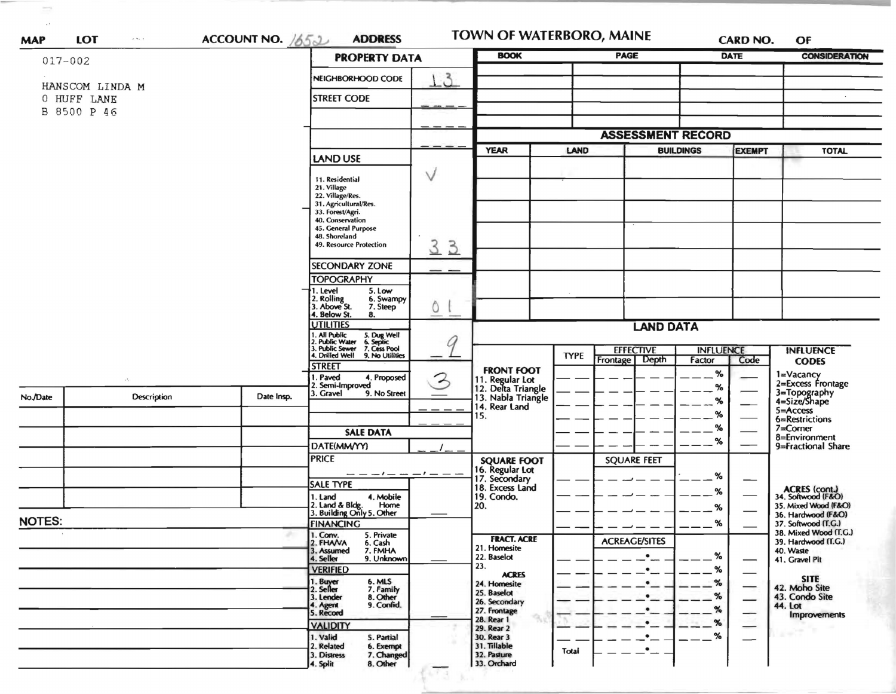| $017 - 002$                                   |             |            | <b>PROPERTY DATA</b>                                                                                                                                                       |                          | <b>BOOK</b>                                                                             |                                 | <b>PAGE</b>                                              |                  | <b>DATE</b>   | <b>CONSIDERATION</b>                         |
|-----------------------------------------------|-------------|------------|----------------------------------------------------------------------------------------------------------------------------------------------------------------------------|--------------------------|-----------------------------------------------------------------------------------------|---------------------------------|----------------------------------------------------------|------------------|---------------|----------------------------------------------|
| HANSCOM LINDA M<br>0 HUFF LANE<br>B 8500 P 46 |             |            | NEIGHBORHOOD CODE                                                                                                                                                          | $\mathcal{E}$            |                                                                                         |                                 |                                                          |                  |               |                                              |
|                                               |             |            |                                                                                                                                                                            |                          |                                                                                         |                                 |                                                          |                  |               |                                              |
|                                               |             |            | <b>STREET CODE</b>                                                                                                                                                         |                          |                                                                                         |                                 |                                                          |                  |               |                                              |
|                                               |             |            |                                                                                                                                                                            |                          |                                                                                         |                                 |                                                          |                  |               |                                              |
|                                               |             |            |                                                                                                                                                                            |                          | <b>ASSESSMENT RECORD</b>                                                                |                                 |                                                          |                  |               |                                              |
|                                               |             |            | LAND USE                                                                                                                                                                   |                          | <b>YEAR</b>                                                                             | LAND                            |                                                          | <b>BUILDINGS</b> | <b>EXEMPT</b> | <b>TOTAL</b>                                 |
|                                               |             |            | 11. Residential<br>21. Village<br>22. Village/Res.<br>31. Agricultural/Res.                                                                                                | $\vee$                   |                                                                                         |                                 |                                                          |                  |               |                                              |
|                                               |             |            |                                                                                                                                                                            |                          |                                                                                         |                                 |                                                          |                  |               |                                              |
|                                               |             |            |                                                                                                                                                                            |                          |                                                                                         |                                 |                                                          |                  |               |                                              |
|                                               |             |            | 33. Forest/Agri.<br>40. Conservation                                                                                                                                       |                          |                                                                                         |                                 |                                                          |                  |               |                                              |
|                                               |             |            | 45. General Purpose<br>48. Shoreland                                                                                                                                       |                          |                                                                                         |                                 |                                                          |                  |               |                                              |
|                                               |             |            | 49. Resource Protection                                                                                                                                                    | 3<br>$\overline{3}$      |                                                                                         |                                 |                                                          |                  |               |                                              |
|                                               |             |            | <b>SECONDARY ZONE</b>                                                                                                                                                      |                          |                                                                                         |                                 |                                                          |                  |               |                                              |
|                                               |             |            | <b>TOPOGRAPHY</b><br>1. Level<br>5. Low                                                                                                                                    |                          |                                                                                         |                                 |                                                          |                  |               |                                              |
|                                               |             |            | 2. Rolling<br>3. Above St.<br>6. Swampy<br>7. Steep<br>4. Below St.<br>8.                                                                                                  | $\circ$                  |                                                                                         |                                 |                                                          |                  |               |                                              |
|                                               |             |            | <b>UTILITIES</b><br>1. All Public<br>2. Public Water<br>3. Public Sewer<br>4. Drilled Well<br>5. Dug Well<br>6. Septic<br>7. Cess Pool<br>9. No Utilities<br><b>STREET</b> | Ŭ                        | <b>LAND DATA</b>                                                                        |                                 |                                                          |                  |               |                                              |
|                                               |             |            |                                                                                                                                                                            |                          |                                                                                         |                                 | <b>EFFECTIVE</b><br><b>INFLUENCE</b><br><b>INFLUENCE</b> |                  |               |                                              |
|                                               |             |            |                                                                                                                                                                            |                          |                                                                                         | <b>TYPE</b><br>Frontage   Depth |                                                          | Factor           | Code          | <b>CODES</b>                                 |
|                                               | $\sim 10$   |            | 1. Paved<br>4. Proposed                                                                                                                                                    | 2                        | <b>FRONT FOOT</b>                                                                       |                                 |                                                          | %                |               | 1=Vacancy<br>2=Excess Frontage               |
| No./Date                                      | Description | Date Insp. | 2. Semi-Improved<br>3. Gravel<br>9. No Street                                                                                                                              |                          | 11. Regular Lot<br>12. Delta Triangle<br>13. Nabla Triangle<br>14. Rear Land<br>15.     |                                 |                                                          | %<br>%           |               | 3=Topography<br>4=Size/Shape                 |
|                                               |             |            |                                                                                                                                                                            |                          |                                                                                         |                                 |                                                          | %                |               | $5 =$ Access                                 |
|                                               |             |            | <b>SALE DATA</b>                                                                                                                                                           |                          |                                                                                         |                                 |                                                          | ℅                |               | 6=Restrictions<br>$7 =$ Corner               |
|                                               |             |            | DATE(MM/YY)                                                                                                                                                                |                          |                                                                                         |                                 |                                                          | %                |               | 8=Environment<br>9=Fractional Share          |
|                                               |             |            | <b>PRICE</b>                                                                                                                                                               |                          | <b>SQUARE FOOT</b><br>16. Regular Lot<br>17. Secondary<br>18. Excess Land<br>19. Condo. |                                 | <b>SQUARE FEET</b>                                       |                  |               |                                              |
|                                               |             |            | $\overline{\phantom{m}}$ $  \overline{\phantom{m}}$ $ \overline{\phantom{m}}$ $ \overline{\phantom{m}}$ $ \overline{\phantom{m}}$ $ \overline{\phantom{m}}$                |                          |                                                                                         |                                 |                                                          | %                |               |                                              |
|                                               |             |            | <b>SALE TYPE</b><br>4. Mobile<br>1. Land                                                                                                                                   |                          |                                                                                         |                                 |                                                          | ℅                |               | ACRES (cont.)<br>34. Softwood (F&O)          |
|                                               |             |            | 2. Land & Bldg.<br>Home<br>3. Building Only 5. Other                                                                                                                       | $\qquad \qquad - \qquad$ | 20.                                                                                     |                                 |                                                          | ፠                |               | 35. Mixed Wood (F&O)<br>36. Hardwood (F&O)   |
| <b>NOTES:</b>                                 |             |            | <b>FINANCING</b>                                                                                                                                                           |                          |                                                                                         |                                 |                                                          | %                |               | 37. Softwood (T.G.)                          |
|                                               |             |            | 1. Conv.<br>5. Private<br>2. FHANA<br>6. Cash                                                                                                                              |                          | <b>FRACT. ACRE</b>                                                                      |                                 | <b>ACREAGE/SITES</b>                                     |                  |               | 38. Mixed Wood (T.G.)<br>39. Hardwood (T.G.) |
|                                               |             |            | 7. FMHA<br>3. Assumed<br>9. Unknown<br>4. Seller                                                                                                                           |                          | 21. Homesite<br>22. Baselot                                                             |                                 | $\bullet$                                                | $\%$             |               | 40. Waste<br>41. Gravel Pit                  |
|                                               |             |            | <b>VERIFIED</b>                                                                                                                                                            |                          | 23.<br><b>ACRES</b>                                                                     |                                 |                                                          | %                |               |                                              |
|                                               |             |            | 1. Buyer<br>6. MLS<br>2. Seller<br>7. Family                                                                                                                               |                          | 24. Homesite<br>25. Baselot                                                             |                                 |                                                          | %                |               | <b>SITE</b><br>42. Moho Site                 |
|                                               |             |            | 8. Other<br>3. Lender<br>9. Confid.<br>4. Agent<br>5. Record                                                                                                               |                          | 26. Secondary<br>27. Frontage                                                           |                                 | $\bullet$                                                | %<br>%           |               | 43. Condo Site<br>44. Lot                    |
|                                               |             |            | <b>VALIDITY</b>                                                                                                                                                            |                          | 28. Rear 1                                                                              |                                 | $\bullet$                                                | %                |               | <b>Improvements</b>                          |
|                                               |             |            | 1. Valid<br>5. Partial                                                                                                                                                     |                          | 29. Rear 2<br>30. Rear 3                                                                |                                 |                                                          | %                |               |                                              |
|                                               |             |            | 2. Related<br>6. Exempt<br>7. Changed                                                                                                                                      |                          | 31. Tillable                                                                            | Total                           | ٠                                                        |                  |               |                                              |